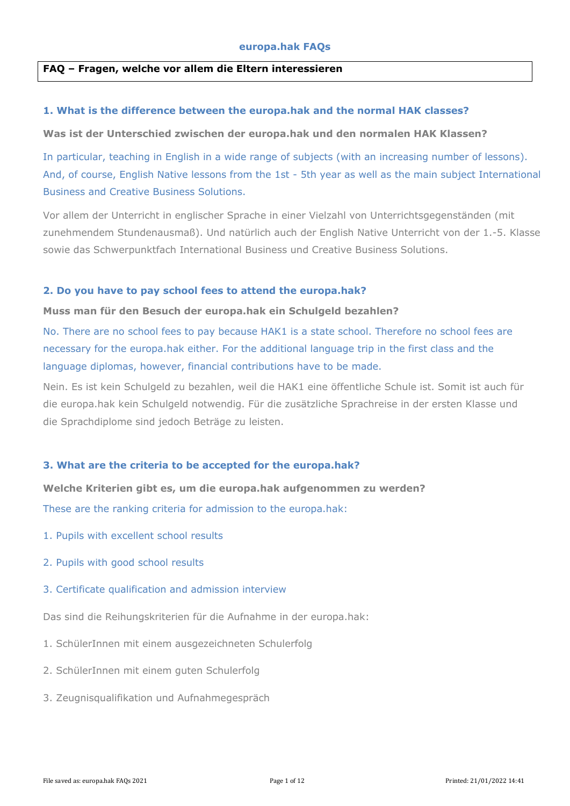### **FAQ – Fragen, welche vor allem die Eltern interessieren**

#### **1. What is the difference between the europa.hak and the normal HAK classes?**

**Was ist der Unterschied zwischen der europa.hak und den normalen HAK Klassen?**

In particular, teaching in English in a wide range of subjects (with an increasing number of lessons). And, of course, English Native lessons from the 1st - 5th year as well as the main subject International Business and Creative Business Solutions.

Vor allem der Unterricht in englischer Sprache in einer Vielzahl von Unterrichtsgegenständen (mit zunehmendem Stundenausmaß). Und natürlich auch der English Native Unterricht von der 1.-5. Klasse sowie das Schwerpunktfach International Business und Creative Business Solutions.

#### **2. Do you have to pay school fees to attend the europa.hak?**

#### **Muss man für den Besuch der europa.hak ein Schulgeld bezahlen?**

No. There are no school fees to pay because HAK1 is a state school. Therefore no school fees are necessary for the europa.hak either. For the additional language trip in the first class and the language diplomas, however, financial contributions have to be made.

Nein. Es ist kein Schulgeld zu bezahlen, weil die HAK1 eine öffentliche Schule ist. Somit ist auch für die europa.hak kein Schulgeld notwendig. Für die zusätzliche Sprachreise in der ersten Klasse und die Sprachdiplome sind jedoch Beträge zu leisten.

#### **3. What are the criteria to be accepted for the europa.hak?**

**Welche Kriterien gibt es, um die europa.hak aufgenommen zu werden?** These are the ranking criteria for admission to the europa.hak:

- 1. Pupils with excellent school results
- 2. Pupils with good school results
- 3. Certificate qualification and admission interview

Das sind die Reihungskriterien für die Aufnahme in der europa.hak:

- 1. SchülerInnen mit einem ausgezeichneten Schulerfolg
- 2. SchülerInnen mit einem guten Schulerfolg
- 3. Zeugnisqualifikation und Aufnahmegespräch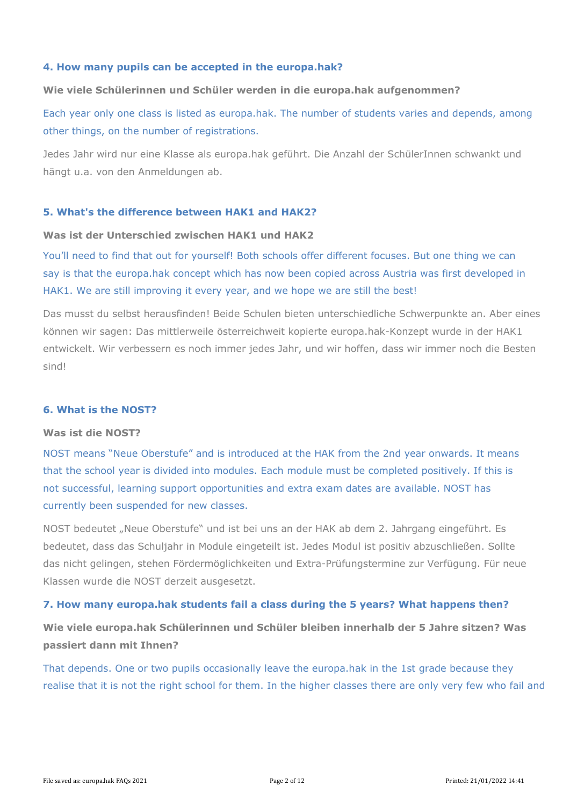## **4. How many pupils can be accepted in the europa.hak?**

#### **Wie viele Schülerinnen und Schüler werden in die europa.hak aufgenommen?**

Each year only one class is listed as europa.hak. The number of students varies and depends, among other things, on the number of registrations.

Jedes Jahr wird nur eine Klasse als europa.hak geführt. Die Anzahl der SchülerInnen schwankt und hängt u.a. von den Anmeldungen ab.

#### **5. What's the difference between HAK1 and HAK2?**

## **Was ist der Unterschied zwischen HAK1 und HAK2**

You'll need to find that out for yourself! Both schools offer different focuses. But one thing we can say is that the europa.hak concept which has now been copied across Austria was first developed in HAK1. We are still improving it every year, and we hope we are still the best!

Das musst du selbst herausfinden! Beide Schulen bieten unterschiedliche Schwerpunkte an. Aber eines können wir sagen: Das mittlerweile österreichweit kopierte europa.hak-Konzept wurde in der HAK1 entwickelt. Wir verbessern es noch immer jedes Jahr, und wir hoffen, dass wir immer noch die Besten sind!

#### **6. What is the NOST?**

#### **Was ist die NOST?**

NOST means "Neue Oberstufe" and is introduced at the HAK from the 2nd year onwards. It means that the school year is divided into modules. Each module must be completed positively. If this is not successful, learning support opportunities and extra exam dates are available. NOST has currently been suspended for new classes.

NOST bedeutet "Neue Oberstufe" und ist bei uns an der HAK ab dem 2. Jahrgang eingeführt. Es bedeutet, dass das Schuljahr in Module eingeteilt ist. Jedes Modul ist positiv abzuschließen. Sollte das nicht gelingen, stehen Fördermöglichkeiten und Extra-Prüfungstermine zur Verfügung. Für neue Klassen wurde die NOST derzeit ausgesetzt.

#### **7. How many europa.hak students fail a class during the 5 years? What happens then?**

**Wie viele europa.hak Schülerinnen und Schüler bleiben innerhalb der 5 Jahre sitzen? Was passiert dann mit Ihnen?**

That depends. One or two pupils occasionally leave the europa.hak in the 1st grade because they realise that it is not the right school for them. In the higher classes there are only very few who fail and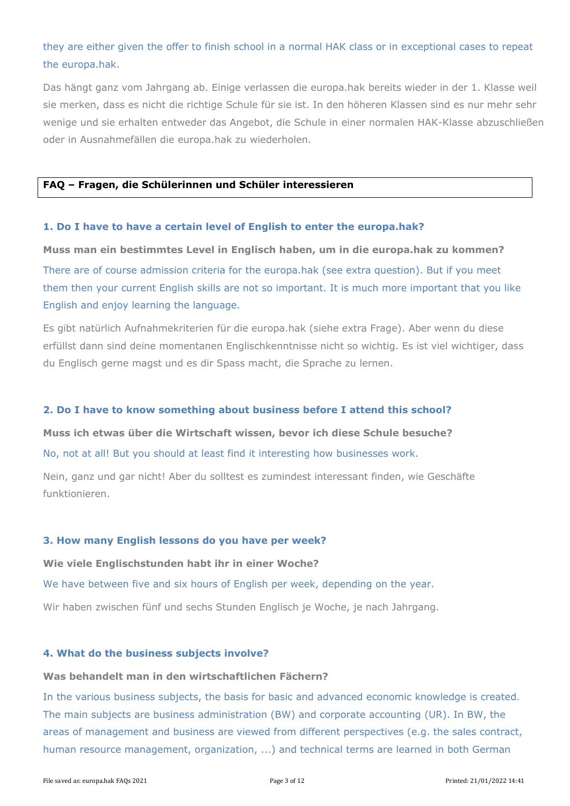# they are either given the offer to finish school in a normal HAK class or in exceptional cases to repeat the europa.hak.

Das hängt ganz vom Jahrgang ab. Einige verlassen die europa.hak bereits wieder in der 1. Klasse weil sie merken, dass es nicht die richtige Schule für sie ist. In den höheren Klassen sind es nur mehr sehr wenige und sie erhalten entweder das Angebot, die Schule in einer normalen HAK-Klasse abzuschließen oder in Ausnahmefällen die europa.hak zu wiederholen.

## **FAQ – Fragen, die Schülerinnen und Schüler interessieren**

#### **1. Do I have to have a certain level of English to enter the europa.hak?**

**Muss man ein bestimmtes Level in Englisch haben, um in die europa.hak zu kommen?** There are of course admission criteria for the europa.hak (see extra question). But if you meet them then your current English skills are not so important. It is much more important that you like English and enjoy learning the language.

Es gibt natürlich Aufnahmekriterien für die europa.hak (siehe extra Frage). Aber wenn du diese erfüllst dann sind deine momentanen Englischkenntnisse nicht so wichtig. Es ist viel wichtiger, dass du Englisch gerne magst und es dir Spass macht, die Sprache zu lernen.

#### **2. Do I have to know something about business before I attend this school?**

**Muss ich etwas über die Wirtschaft wissen, bevor ich diese Schule besuche?**

No, not at all! But you should at least find it interesting how businesses work.

Nein, ganz und gar nicht! Aber du solltest es zumindest interessant finden, wie Geschäfte funktionieren.

#### **3. How many English lessons do you have per week?**

**Wie viele Englischstunden habt ihr in einer Woche?**

We have between five and six hours of English per week, depending on the year.

Wir haben zwischen fünf und sechs Stunden Englisch je Woche, je nach Jahrgang.

#### **4. What do the business subjects involve?**

# **Was behandelt man in den wirtschaftlichen Fächern?**

In the various business subjects, the basis for basic and advanced economic knowledge is created. The main subjects are business administration (BW) and corporate accounting (UR). In BW, the areas of management and business are viewed from different perspectives (e.g. the sales contract, human resource management, organization, ...) and technical terms are learned in both German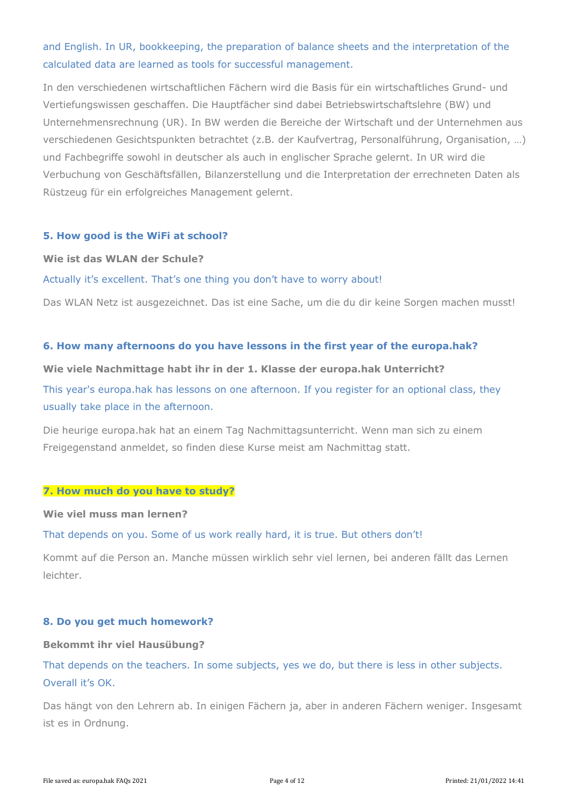# and English. In UR, bookkeeping, the preparation of balance sheets and the interpretation of the calculated data are learned as tools for successful management.

In den verschiedenen wirtschaftlichen Fächern wird die Basis für ein wirtschaftliches Grund- und Vertiefungswissen geschaffen. Die Hauptfächer sind dabei Betriebswirtschaftslehre (BW) und Unternehmensrechnung (UR). In BW werden die Bereiche der Wirtschaft und der Unternehmen aus verschiedenen Gesichtspunkten betrachtet (z.B. der Kaufvertrag, Personalführung, Organisation, …) und Fachbegriffe sowohl in deutscher als auch in englischer Sprache gelernt. In UR wird die Verbuchung von Geschäftsfällen, Bilanzerstellung und die Interpretation der errechneten Daten als Rüstzeug für ein erfolgreiches Management gelernt.

## **5. How good is the WiFi at school?**

#### **Wie ist das WLAN der Schule?**

#### Actually it's excellent. That's one thing you don't have to worry about!

Das WLAN Netz ist ausgezeichnet. Das ist eine Sache, um die du dir keine Sorgen machen musst!

#### **6. How many afternoons do you have lessons in the first year of the europa.hak?**

#### **Wie viele Nachmittage habt ihr in der 1. Klasse der europa.hak Unterricht?**

This year's europa.hak has lessons on one afternoon. If you register for an optional class, they usually take place in the afternoon.

Die heurige europa.hak hat an einem Tag Nachmittagsunterricht. Wenn man sich zu einem Freigegenstand anmeldet, so finden diese Kurse meist am Nachmittag statt.

#### **7. How much do you have to study?**

#### **Wie viel muss man lernen?**

That depends on you. Some of us work really hard, it is true. But others don't!

Kommt auf die Person an. Manche müssen wirklich sehr viel lernen, bei anderen fällt das Lernen leichter.

#### **8. Do you get much homework?**

#### **Bekommt ihr viel Hausübung?**

That depends on the teachers. In some subjects, yes we do, but there is less in other subjects. Overall it's OK.

Das hängt von den Lehrern ab. In einigen Fächern ja, aber in anderen Fächern weniger. Insgesamt ist es in Ordnung.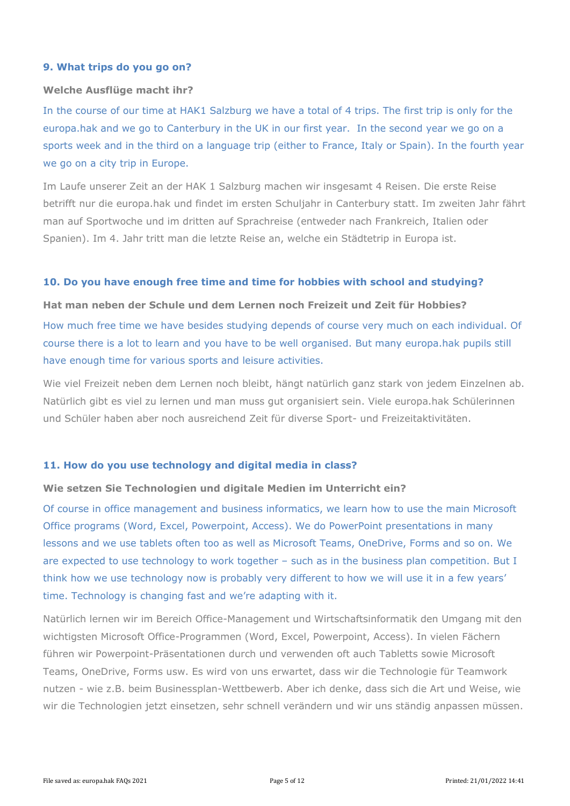## **9. What trips do you go on?**

## **Welche Ausflüge macht ihr?**

In the course of our time at HAK1 Salzburg we have a total of 4 trips. The first trip is only for the europa.hak and we go to Canterbury in the UK in our first year. In the second year we go on a sports week and in the third on a language trip (either to France, Italy or Spain). In the fourth year we go on a city trip in Europe.

Im Laufe unserer Zeit an der HAK 1 Salzburg machen wir insgesamt 4 Reisen. Die erste Reise betrifft nur die europa.hak und findet im ersten Schuljahr in Canterbury statt. Im zweiten Jahr fährt man auf Sportwoche und im dritten auf Sprachreise (entweder nach Frankreich, Italien oder Spanien). Im 4. Jahr tritt man die letzte Reise an, welche ein Städtetrip in Europa ist.

## **10. Do you have enough free time and time for hobbies with school and studying?**

**Hat man neben der Schule und dem Lernen noch Freizeit und Zeit für Hobbies?** How much free time we have besides studying depends of course very much on each individual. Of course there is a lot to learn and you have to be well organised. But many europa.hak pupils still have enough time for various sports and leisure activities.

Wie viel Freizeit neben dem Lernen noch bleibt, hängt natürlich ganz stark von jedem Einzelnen ab. Natürlich gibt es viel zu lernen und man muss gut organisiert sein. Viele europa.hak Schülerinnen und Schüler haben aber noch ausreichend Zeit für diverse Sport- und Freizeitaktivitäten.

# **11. How do you use technology and digital media in class?**

#### **Wie setzen Sie Technologien und digitale Medien im Unterricht ein?**

Of course in office management and business informatics, we learn how to use the main Microsoft Office programs (Word, Excel, Powerpoint, Access). We do PowerPoint presentations in many lessons and we use tablets often too as well as Microsoft Teams, OneDrive, Forms and so on. We are expected to use technology to work together – such as in the business plan competition. But I think how we use technology now is probably very different to how we will use it in a few years' time. Technology is changing fast and we're adapting with it.

Natürlich lernen wir im Bereich Office-Management und Wirtschaftsinformatik den Umgang mit den wichtigsten Microsoft Office-Programmen (Word, Excel, Powerpoint, Access). In vielen Fächern führen wir Powerpoint-Präsentationen durch und verwenden oft auch Tabletts sowie Microsoft Teams, OneDrive, Forms usw. Es wird von uns erwartet, dass wir die Technologie für Teamwork nutzen - wie z.B. beim Businessplan-Wettbewerb. Aber ich denke, dass sich die Art und Weise, wie wir die Technologien jetzt einsetzen, sehr schnell verändern und wir uns ständig anpassen müssen.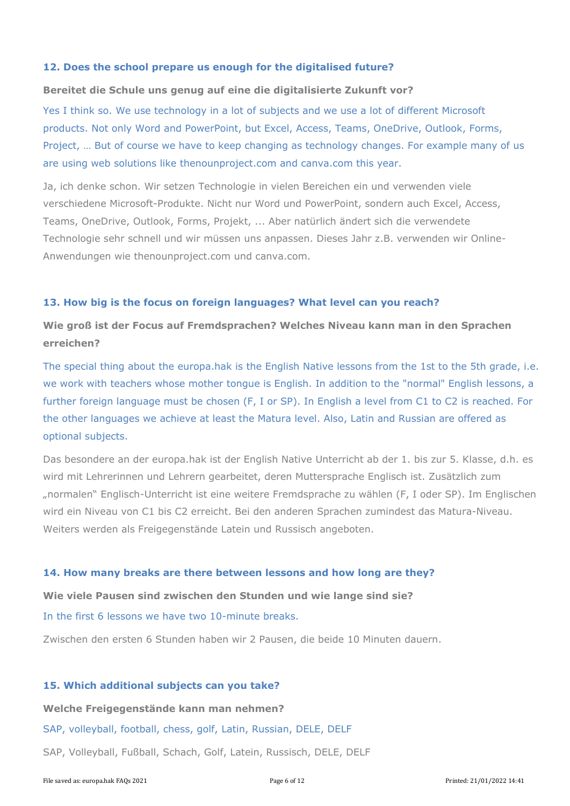## **12. Does the school prepare us enough for the digitalised future?**

#### **Bereitet die Schule uns genug auf eine die digitalisierte Zukunft vor?**

Yes I think so. We use technology in a lot of subjects and we use a lot of different Microsoft products. Not only Word and PowerPoint, but Excel, Access, Teams, OneDrive, Outlook, Forms, Project, … But of course we have to keep changing as technology changes. For example many of us are using web solutions like thenounproject.com and canva.com this year.

Ja, ich denke schon. Wir setzen Technologie in vielen Bereichen ein und verwenden viele verschiedene Microsoft-Produkte. Nicht nur Word und PowerPoint, sondern auch Excel, Access, Teams, OneDrive, Outlook, Forms, Projekt, ... Aber natürlich ändert sich die verwendete Technologie sehr schnell und wir müssen uns anpassen. Dieses Jahr z.B. verwenden wir Online-Anwendungen wie thenounproject.com und canva.com.

## **13. How big is the focus on foreign languages? What level can you reach?**

# **Wie groß ist der Focus auf Fremdsprachen? Welches Niveau kann man in den Sprachen erreichen?**

The special thing about the europa.hak is the English Native lessons from the 1st to the 5th grade, i.e. we work with teachers whose mother tongue is English. In addition to the "normal" English lessons, a further foreign language must be chosen (F, I or SP). In English a level from C1 to C2 is reached. For the other languages we achieve at least the Matura level. Also, Latin and Russian are offered as optional subjects.

Das besondere an der europa.hak ist der English Native Unterricht ab der 1. bis zur 5. Klasse, d.h. es wird mit Lehrerinnen und Lehrern gearbeitet, deren Muttersprache Englisch ist. Zusätzlich zum "normalen" Englisch-Unterricht ist eine weitere Fremdsprache zu wählen (F, I oder SP). Im Englischen wird ein Niveau von C1 bis C2 erreicht. Bei den anderen Sprachen zumindest das Matura-Niveau. Weiters werden als Freigegenstände Latein und Russisch angeboten.

#### **14. How many breaks are there between lessons and how long are they?**

**Wie viele Pausen sind zwischen den Stunden und wie lange sind sie?** In the first 6 lessons we have two 10-minute breaks.

Zwischen den ersten 6 Stunden haben wir 2 Pausen, die beide 10 Minuten dauern.

#### **15. Which additional subjects can you take?**

#### **Welche Freigegenstände kann man nehmen?**

SAP, volleyball, football, chess, golf, Latin, Russian, DELE, DELF

SAP, Volleyball, Fußball, Schach, Golf, Latein, Russisch, DELE, DELF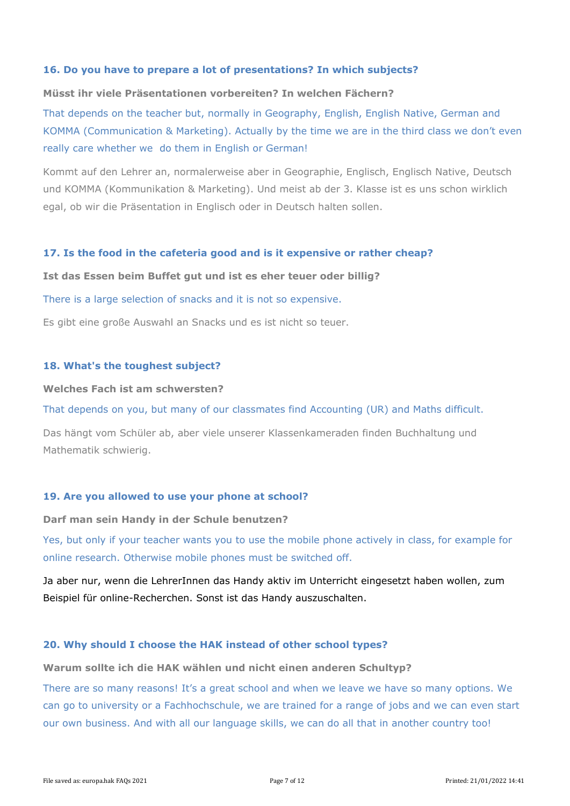# **16. Do you have to prepare a lot of presentations? In which subjects?**

## **Müsst ihr viele Präsentationen vorbereiten? In welchen Fächern?**

That depends on the teacher but, normally in Geography, English, English Native, German and KOMMA (Communication & Marketing). Actually by the time we are in the third class we don't even really care whether we do them in English or German!

Kommt auf den Lehrer an, normalerweise aber in Geographie, Englisch, Englisch Native, Deutsch und KOMMA (Kommunikation & Marketing). Und meist ab der 3. Klasse ist es uns schon wirklich egal, ob wir die Präsentation in Englisch oder in Deutsch halten sollen.

## **17. Is the food in the cafeteria good and is it expensive or rather cheap?**

#### **Ist das Essen beim Buffet gut und ist es eher teuer oder billig?**

## There is a large selection of snacks and it is not so expensive.

Es gibt eine große Auswahl an Snacks und es ist nicht so teuer.

## **18. What's the toughest subject?**

#### **Welches Fach ist am schwersten?**

That depends on you, but many of our classmates find Accounting (UR) and Maths difficult.

Das hängt vom Schüler ab, aber viele unserer Klassenkameraden finden Buchhaltung und Mathematik schwierig.

#### **19. Are you allowed to use your phone at school?**

**Darf man sein Handy in der Schule benutzen?**

Yes, but only if your teacher wants you to use the mobile phone actively in class, for example for online research. Otherwise mobile phones must be switched off.

Ja aber nur, wenn die LehrerInnen das Handy aktiv im Unterricht eingesetzt haben wollen, zum Beispiel für online-Recherchen. Sonst ist das Handy auszuschalten.

#### **20. Why should I choose the HAK instead of other school types?**

**Warum sollte ich die HAK wählen und nicht einen anderen Schultyp?**

There are so many reasons! It's a great school and when we leave we have so many options. We can go to university or a Fachhochschule, we are trained for a range of jobs and we can even start our own business. And with all our language skills, we can do all that in another country too!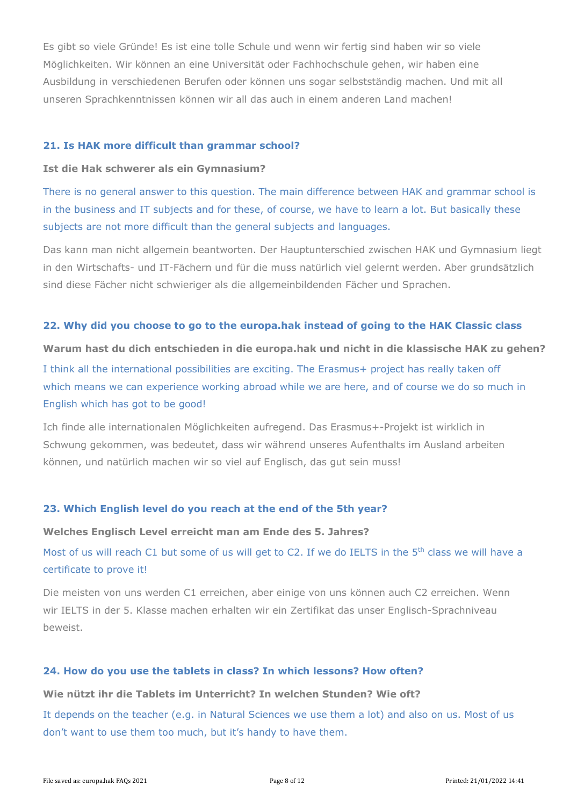Es gibt so viele Gründe! Es ist eine tolle Schule und wenn wir fertig sind haben wir so viele Möglichkeiten. Wir können an eine Universität oder Fachhochschule gehen, wir haben eine Ausbildung in verschiedenen Berufen oder können uns sogar selbstständig machen. Und mit all unseren Sprachkenntnissen können wir all das auch in einem anderen Land machen!

#### **21. Is HAK more difficult than grammar school?**

#### **Ist die Hak schwerer als ein Gymnasium?**

There is no general answer to this question. The main difference between HAK and grammar school is in the business and IT subjects and for these, of course, we have to learn a lot. But basically these subjects are not more difficult than the general subjects and languages.

Das kann man nicht allgemein beantworten. Der Hauptunterschied zwischen HAK und Gymnasium liegt in den Wirtschafts- und IT-Fächern und für die muss natürlich viel gelernt werden. Aber grundsätzlich sind diese Fächer nicht schwieriger als die allgemeinbildenden Fächer und Sprachen.

#### **22. Why did you choose to go to the europa.hak instead of going to the HAK Classic class**

**Warum hast du dich entschieden in die europa.hak und nicht in die klassische HAK zu gehen?** I think all the international possibilities are exciting. The Erasmus+ project has really taken off which means we can experience working abroad while we are here, and of course we do so much in English which has got to be good!

Ich finde alle internationalen Möglichkeiten aufregend. Das Erasmus+-Projekt ist wirklich in Schwung gekommen, was bedeutet, dass wir während unseres Aufenthalts im Ausland arbeiten können, und natürlich machen wir so viel auf Englisch, das gut sein muss!

## **23. Which English level do you reach at the end of the 5th year?**

#### **Welches Englisch Level erreicht man am Ende des 5. Jahres?**

Most of us will reach C1 but some of us will get to C2. If we do IELTS in the 5<sup>th</sup> class we will have a certificate to prove it!

Die meisten von uns werden C1 erreichen, aber einige von uns können auch C2 erreichen. Wenn wir IELTS in der 5. Klasse machen erhalten wir ein Zertifikat das unser Englisch-Sprachniveau beweist.

#### **24. How do you use the tablets in class? In which lessons? How often?**

#### **Wie nützt ihr die Tablets im Unterricht? In welchen Stunden? Wie oft?**

It depends on the teacher (e.g. in Natural Sciences we use them a lot) and also on us. Most of us don't want to use them too much, but it's handy to have them.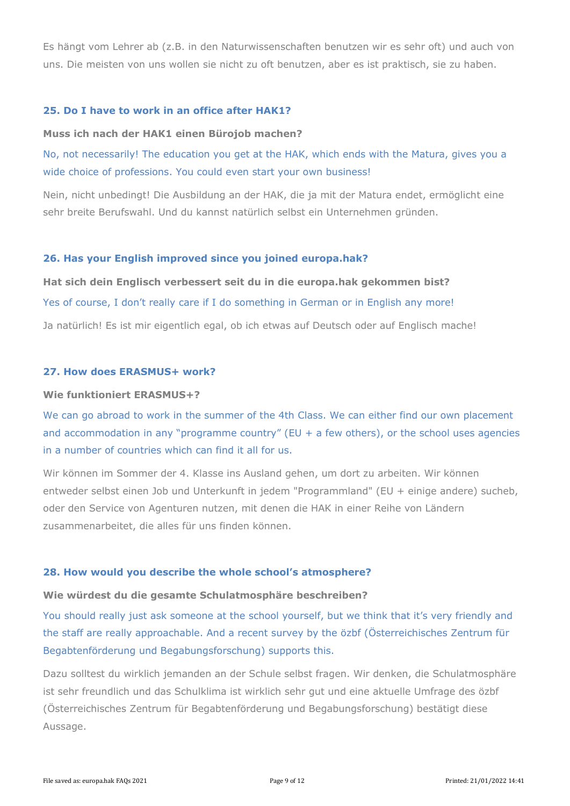Es hängt vom Lehrer ab (z.B. in den Naturwissenschaften benutzen wir es sehr oft) und auch von uns. Die meisten von uns wollen sie nicht zu oft benutzen, aber es ist praktisch, sie zu haben.

#### **25. Do I have to work in an office after HAK1?**

#### **Muss ich nach der HAK1 einen Bürojob machen?**

No, not necessarily! The education you get at the HAK, which ends with the Matura, gives you a wide choice of professions. You could even start your own business!

Nein, nicht unbedingt! Die Ausbildung an der HAK, die ja mit der Matura endet, ermöglicht eine sehr breite Berufswahl. Und du kannst natürlich selbst ein Unternehmen gründen.

## **26. Has your English improved since you joined europa.hak?**

**Hat sich dein Englisch verbessert seit du in die europa.hak gekommen bist?** Yes of course, I don't really care if I do something in German or in English any more! Ja natürlich! Es ist mir eigentlich egal, ob ich etwas auf Deutsch oder auf Englisch mache!

# **27. How does ERASMUS+ work?**

#### **Wie funktioniert ERASMUS+?**

We can go abroad to work in the summer of the 4th Class. We can either find our own placement and accommodation in any "programme country" (EU + a few others), or the school uses agencies in a number of countries which can find it all for us.

Wir können im Sommer der 4. Klasse ins Ausland gehen, um dort zu arbeiten. Wir können entweder selbst einen Job und Unterkunft in jedem "Programmland" (EU + einige andere) sucheb, oder den Service von Agenturen nutzen, mit denen die HAK in einer Reihe von Ländern zusammenarbeitet, die alles für uns finden können.

#### **28. How would you describe the whole school's atmosphere?**

## **Wie würdest du die gesamte Schulatmosphäre beschreiben?**

You should really just ask someone at the school yourself, but we think that it's very friendly and the staff are really approachable. And a recent survey by the özbf (Österreichisches Zentrum für Begabtenförderung und Begabungsforschung) supports this.

Dazu solltest du wirklich jemanden an der Schule selbst fragen. Wir denken, die Schulatmosphäre ist sehr freundlich und das Schulklima ist wirklich sehr gut und eine aktuelle Umfrage des özbf (Österreichisches Zentrum für Begabtenförderung und Begabungsforschung) bestätigt diese Aussage.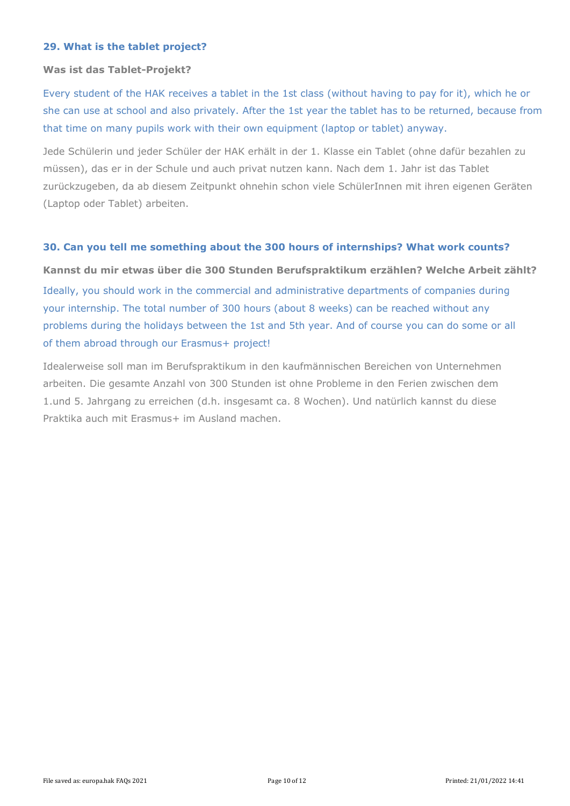## **29. What is the tablet project?**

#### **Was ist das Tablet-Projekt?**

Every student of the HAK receives a tablet in the 1st class (without having to pay for it), which he or she can use at school and also privately. After the 1st year the tablet has to be returned, because from that time on many pupils work with their own equipment (laptop or tablet) anyway.

Jede Schülerin und jeder Schüler der HAK erhält in der 1. Klasse ein Tablet (ohne dafür bezahlen zu müssen), das er in der Schule und auch privat nutzen kann. Nach dem 1. Jahr ist das Tablet zurückzugeben, da ab diesem Zeitpunkt ohnehin schon viele SchülerInnen mit ihren eigenen Geräten (Laptop oder Tablet) arbeiten.

## **30. Can you tell me something about the 300 hours of internships? What work counts?**

**Kannst du mir etwas über die 300 Stunden Berufspraktikum erzählen? Welche Arbeit zählt?**  Ideally, you should work in the commercial and administrative departments of companies during your internship. The total number of 300 hours (about 8 weeks) can be reached without any problems during the holidays between the 1st and 5th year. And of course you can do some or all of them abroad through our Erasmus+ project!

Idealerweise soll man im Berufspraktikum in den kaufmännischen Bereichen von Unternehmen arbeiten. Die gesamte Anzahl von 300 Stunden ist ohne Probleme in den Ferien zwischen dem 1.und 5. Jahrgang zu erreichen (d.h. insgesamt ca. 8 Wochen). Und natürlich kannst du diese Praktika auch mit Erasmus+ im Ausland machen.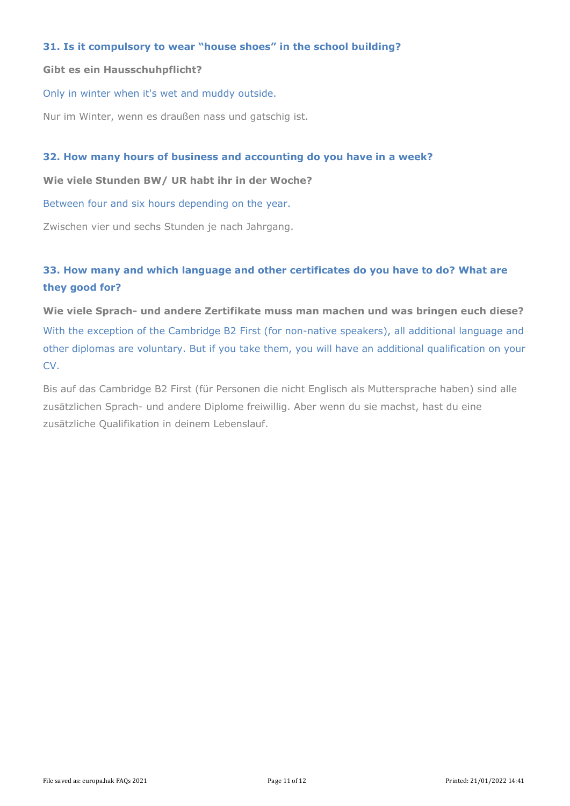## **31. Is it compulsory to wear "house shoes" in the school building?**

#### **Gibt es ein Hausschuhpflicht?**

Only in winter when it's wet and muddy outside.

Nur im Winter, wenn es draußen nass und gatschig ist.

#### **32. How many hours of business and accounting do you have in a week?**

**Wie viele Stunden BW/ UR habt ihr in der Woche?**

Between four and six hours depending on the year.

Zwischen vier und sechs Stunden je nach Jahrgang.

# **33. How many and which language and other certificates do you have to do? What are they good for?**

**Wie viele Sprach- und andere Zertifikate muss man machen und was bringen euch diese?** With the exception of the Cambridge B2 First (for non-native speakers), all additional language and other diplomas are voluntary. But if you take them, you will have an additional qualification on your CV.

Bis auf das Cambridge B2 First (für Personen die nicht Englisch als Muttersprache haben) sind alle zusätzlichen Sprach- und andere Diplome freiwillig. Aber wenn du sie machst, hast du eine zusätzliche Qualifikation in deinem Lebenslauf.